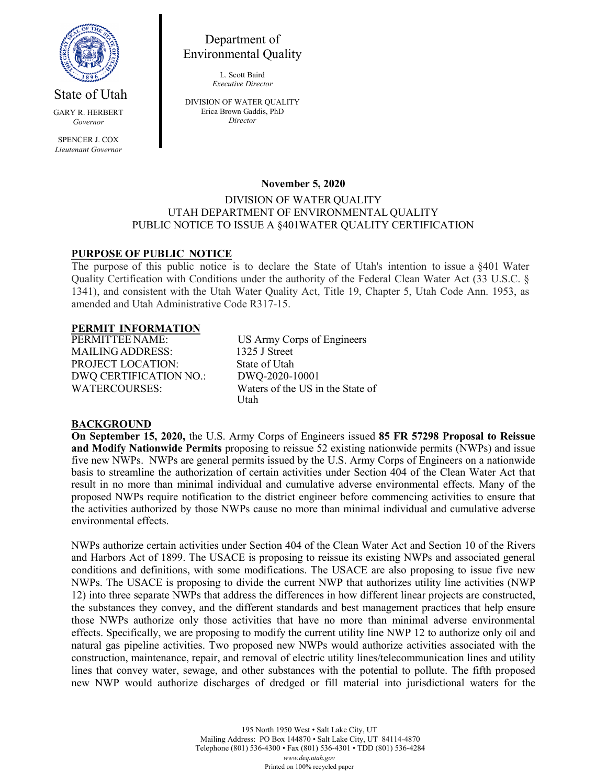

Department of Environmental Quality

> L. Scott Baird *Executive Director*

GARY R. HERBERT *Governor*

State of Utah

SPENCER J. COX *Lieutenant Governor* DIVISION OF WATER QUALITY Erica Brown Gaddis, PhD *Director*

### **November 5, 2020**

### DIVISION OF WATER QUALITY UTAH DEPARTMENT OF ENVIRONMENTAL QUALITY PUBLIC NOTICE TO ISSUE A §401WATER QUALITY CERTIFICATION

## **PURPOSE OF PUBLIC NOTICE**

The purpose of this public notice is to declare the State of Utah's intention to issue a §401 Water Quality Certification with Conditions under the authority of the Federal Clean Water Act (33 U.S.C. § 1341), and consistent with the Utah Water Quality Act, Title 19, Chapter 5, Utah Code Ann. 1953, as amended and Utah Administrative Code R317-15.

# **PERMIT INFORMATION**

MAILING ADDRESS: 1325 J Street PROJECT LOCATION: State of Utah DWQ CERTIFICATION NO.: DWQ-2020-10001

US Army Corps of Engineers WATERCOURSES: Waters of the US in the State of Utah

### **BACKGROUND**

**On September 15, 2020,** the U.S. Army Corps of Engineers issued **85 FR 57298 Proposal to Reissue and Modify Nationwide Permits** proposing to reissue 52 existing nationwide permits (NWPs) and issue five new NWPs. NWPs are general permits issued by the U.S. Army Corps of Engineers on a nationwide basis to streamline the authorization of certain activities under Section 404 of the Clean Water Act that result in no more than minimal individual and cumulative adverse environmental effects. Many of the proposed NWPs require notification to the district engineer before commencing activities to ensure that the activities authorized by those NWPs cause no more than minimal individual and cumulative adverse environmental effects.

NWPs authorize certain activities under Section 404 of the Clean Water Act and Section 10 of the Rivers and Harbors Act of 1899. The USACE is proposing to reissue its existing NWPs and associated general conditions and definitions, with some modifications. The USACE are also proposing to issue five new NWPs. The USACE is proposing to divide the current NWP that authorizes utility line activities (NWP 12) into three separate NWPs that address the differences in how different linear projects are constructed, the substances they convey, and the different standards and best management practices that help ensure those NWPs authorize only those activities that have no more than minimal adverse environmental effects. Specifically, we are proposing to modify the current utility line NWP 12 to authorize only oil and natural gas pipeline activities. Two proposed new NWPs would authorize activities associated with the construction, maintenance, repair, and removal of electric utility lines/telecommunication lines and utility lines that convey water, sewage, and other substances with the potential to pollute. The fifth proposed new NWP would authorize discharges of dredged or fill material into jurisdictional waters for the